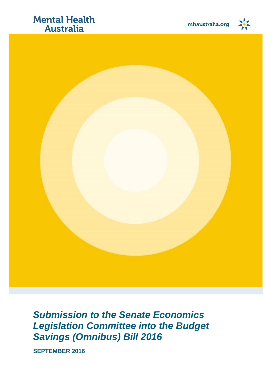### **Mental Health Australia**



*Submission to the Senate Economics Legislation Committee into the Budget Savings (Omnibus) Bill 2016*

**SEPTEMBER 2016**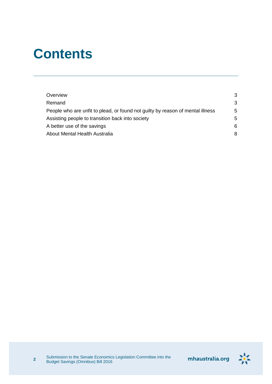## **Contents**

| Overview                                                                       | 3 |
|--------------------------------------------------------------------------------|---|
| Remand                                                                         | 3 |
| People who are unfit to plead, or found not guilty by reason of mental illness | 5 |
| Assisting people to transition back into society                               | 5 |
| A better use of the savings                                                    | 6 |
| About Mental Health Australia                                                  | 8 |
|                                                                                |   |

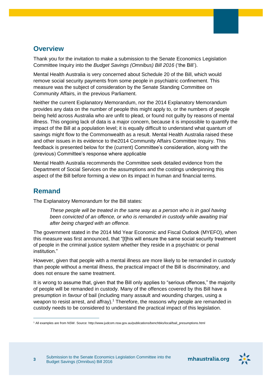#### <span id="page-2-0"></span>**Overview**

Thank you for the invitation to make a submission to the Senate Economics Legislation Committee Inquiry into the *Budget Savings (Omnibus) Bill 2016* ('the Bill').

Mental Health Australia is very concerned about Schedule 20 of the Bill, which would remove social security payments from some people in psychiatric confinement. This measure was the subject of consideration by the Senate Standing Committee on Community Affairs, in the previous Parliament.

Neither the current Explanatory Memorandum, nor the 2014 Explanatory Memorandum provides any data on the number of people this might apply to, or the numbers of people being held across Australia who are unfit to plead, or found not guilty by reasons of mental illness. This ongoing lack of data is a major concern, because it is impossible to quantify the impact of the Bill at a population level; it is equally difficult to understand what quantum of savings might flow to the Commonwealth as a result. Mental Health Australia raised these and other issues in its evidence to the2014 Community Affairs Committee Inquiry. This feedback is presented below for the (current) Committee's consideration, along with the (previous) Committee's response where applicable

Mental Health Australia recommends the Committee seek detailed evidence from the Department of Social Services on the assumptions and the costings underpinning this aspect of the Bill before forming a view on its impact in human and financial terms.

#### <span id="page-2-1"></span>**Remand**

**3**

 $\overline{a}$ 

The Explanatory Memorandum for the Bill states:

*These people will be treated in the same way as a person who is in gaol having been convicted of an offence, or who is remanded in custody while awaiting trial after being charged with an offence.*

The government stated in the 2014 Mid Year Economic and Fiscal Outlook (MYEFO), when this measure was first announced, that "[t]his will ensure the same social security treatment of people in the criminal justice system whether they reside in a psychiatric or penal institution."

However, given that people with a mental illness are more likely to be remanded in custody than people without a mental illness, the practical impact of the Bill is discriminatory, and does not ensure the same treatment.

It is wrong to assume that, given that the Bill only applies to "serious offences," the majority of people will be remanded in custody. Many of the offences covered by this Bill have a presumption in *favour* of bail (including many assault and wounding charges, using a weapon to resist arrest, and affray).<sup>1</sup> Therefore, the reasons why people are remanded in custody needs to be considered to understand the practical impact of this legislation.



<sup>1</sup> All examples are from NSW. Source: http://www.judcom.nsw.gov.au/publications/benchbks/local/bail\_presumptions.html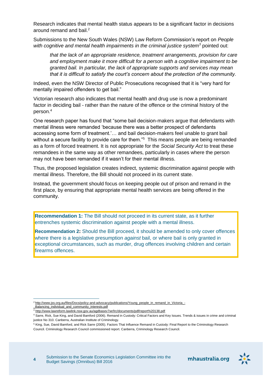Research indicates that mental health status appears to be a significant factor in decisions around remand and bail. 2

Submissions to the New South Wales (NSW) Law Reform Commission's report on *People with cognitive and mental health impairments in the criminal justice system<sup>3</sup>* pointed out:

*that the lack of an appropriate residence, treatment arrangements, provision for care and employment make it more difficult for a person with a cognitive impairment to be granted bail. In particular, the lack of appropriate supports and services may mean that it is difficult to satisfy the court's concern about the protection of the community.*

Indeed, even the NSW Director of Public Prosecutions recognised that it is "very hard for mentally impaired offenders to get bail."

Victorian research also indicates that mental health and drug use is now a predominant factor in deciding bail - rather than the nature of the offence or the criminal history of the person.<sup>4</sup>

One research paper has found that "some bail decision-makers argue that defendants with mental illness were remanded 'because there was a better prospect of defendants accessing some form of treatment.'… and bail decision-makers feel unable to grant bail without a secure facility to provide care for them."<sup>5</sup> This means people are being remanded as a form of forced treatment. It is not appropriate for the *Social Security Act* to treat these remandees in the same way as other remandees, particularly in cases where the person may not have been remanded if it wasn't for their mental illness.

Thus, the proposed legislation creates indirect, systemic discrimination against people with mental illness. Therefore, the Bill should not proceed in its current state.

Instead, the government should focus on keeping people out of prison and remand in the first place, by ensuring that appropriate mental health services are being offered in the community.

**Recommendation 1:** The Bill should not proceed in its current state, as it further entrenches systemic discrimination against people with a mental illness.

**Recommendation 2:** Should the Bill proceed, it should be amended to only cover offences where there is a legislative presumption *against* bail, or where bail is only granted in exceptional circumstances, such as murder, drug offences involving children and certain firearms offences.





 $\overline{a}$ <sup>2</sup> [http://www.jss.org.au/files/Docs/policy-and-advocacy/publications/Young\\_people\\_in\\_remand\\_in\\_Victoria\\_-](http://www.jss.org.au/files/Docs/policy-and-advocacy/publications/Young_people_in_remand_in_Victoria_-_Balancing_individual_and_community_interests.pdf)

[\\_Balancing\\_individual\\_and\\_community\\_interests.pdf](http://www.jss.org.au/files/Docs/policy-and-advocacy/publications/Young_people_in_remand_in_Victoria_-_Balancing_individual_and_community_interests.pdf)

<sup>3</sup> <http://www.lawreform.lawlink.nsw.gov.au/agdbasev7wr/lrc/documents/pdf/report%20138.pdf>

<sup>4</sup> Sarre, Rick, Sue King, and David Bamford (2006). Remand in Custody: Critical Factors and Key Issues. Trends & issues in crime and criminal justice No 310. Canberra, Australian Institute of Criminology.

<sup>5</sup> King, Sue, David Bamford, and Rick Sarre (2005). Factors That Influence Remand in Custody: Final Report to the Criminology Research Council. Criminology Research Council commissioned report. Canberra, Criminology Research Council.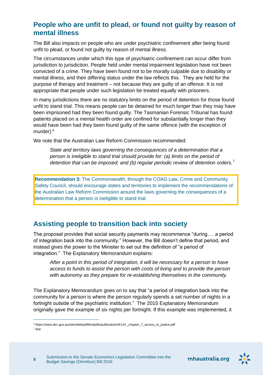#### <span id="page-4-0"></span>**People who are unfit to plead, or found not guilty by reason of mental illness**

The Bill also impacts on people who are under psychiatric confinement after being found unfit to plead, or found not guilty by reason of mental illness.

The circumstances under which this type of psychiatric confinement can occur differ from jurisdiction to jurisdiction. People held under mental impairment legislation have not been convicted of a crime. They have been found not to be morally culpable due to disability or mental illness, and their differing status under the law reflects this. They are held for the purpose of therapy and treatment – not because they are guilty of an offence. It is not appropriate that people under such legislation be treated equally with prisoners.

In many jurisdictions there are no statutory limits on the period of detention for those found unfit to stand trial. This means people can be detained for much longer than they may have been imprisoned had they been found guilty. The Tasmanian Forensic Tribunal has found patients placed on a mental health order are confined for substantially longer than they would have been had they been found guilty of the same offence (with the exception of murder).<sup>6</sup>

We note that the Australian Law Reform Commission recommended:

*State and territory laws governing the consequences of a determination that a person is ineligible to stand trial should provide for: (a) limits on the period of detention that can be imposed; and (b) regular periodic review of detention orders.<sup>7</sup>*

**Recommendation 3:** The Commonwealth, through the COAG Law, Crime and Community Safety Council, should encourage states and territories to implement the recommendations of the Australian Law Reform Commission around the laws governing the consequences of a determination that a person is ineligible to stand trial.

#### <span id="page-4-1"></span>**Assisting people to transition back into society**

The proposal provides that social security payments may recommence "during…. a period of integration back into the community." However, the Bill doesn't define that period, and instead gives the power to the Minister to set out the definition of "a period of integration." The Explanatory Memorandum explains:

*After a point in this period of integration, it will be necessary for a person to have access to funds to assist the person with costs of living and to provide the person with autonomy as they prepare for re-establishing themselves in the community.*

The Explanatory Memorandum goes on to say that "a period of integration back into the community for a person is where the person regularly spends a set number of nights in a fortnight outside of the psychiatric institution." The 2015 Explanatory Memorandum originally gave the example of six nights per fortnight. If this example was implemented, it

 $\overline{a}$ 



<sup>6</sup> https://www.alrc.gov.au/sites/default/files/pdfs/publications/fr124.\_chapter\_7\_access\_to\_justice.pdf 7 Ibid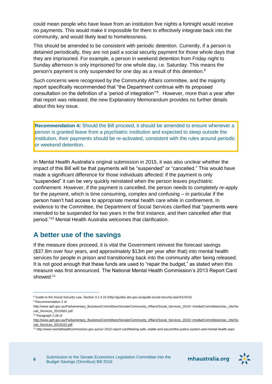could mean people who have leave from an institution five nights a fortnight would receive no payments. This would make it impossible for them to effectively integrate back into the community, and would likely lead to homelessness.

This should be amended to be consistent with periodic detention. Currently, if a person is detained periodically, they are not paid a social security payment for those whole days that they are imprisoned. For example, a person in weekend detention from Friday night to Sunday afternoon is only imprisoned for one whole day, i.e. Saturday. This means the person's payment is only suspended for one day as a result of this detention.<sup>8</sup>

Such concerns were recognised by the Community Affairs committee, and the majority report specifically recommended that "the Department continue with its proposed consultation on the definition of a 'period of integration'"<sup>9</sup> . However, more than a year after that report was released, the new Explanatory Memorandum provides no further details about this key issue.

**Recommendation 4:** Should the Bill proceed, it should be amended to ensure whenever a person is granted leave from a psychiatric institution and expected to sleep outside the institution, their payments should be re-activated, consistent with the rules around periodic or weekend detention.

In Mental Health Australia's original submission in 2015, it was also unclear whether the impact of this Bill will be that payments will be "suspended" or "cancelled." This would have made a significant difference for those individuals affected: if the payment is only "suspended" it can be very quickly reinstated when the person leaves psychiatric confinement. However, if the payment is cancelled, the person needs to completely re-apply for the payment, which is time consuming, complex and confusing – in particular if the person hasn't had access to appropriate mental health care while in confinement. In evidence to the Committee, the Department of Social Services clarified that "payments were intended to be suspended for two years in the first instance, and then cancelled after that period."<sup>10</sup> Mental Health Australia welcomes that clarification.

#### <span id="page-5-0"></span>**A better use of the savings**

If the measure does proceed, it is vital the Government reinvest the forecast savings (\$37.8m over four years, and approximately \$13m per year after that) into mental health services for people in prison and transitioning back into the community after being released. It is not good enough that these funds are used to "repair the budget," as stated when this measure was first announced. The National Mental Health Commission's 2013 Report Card showed:<sup>11</sup>

 $\overline{a}$ 



<sup>8</sup> Guide to the Social Security Law, Section 3.1.4.10 (http://guides.dss.gov.au/guide-social-security-law/3/1/4/10).

<sup>&</sup>lt;sup>9</sup> Recommendation 2 of

http://www.aph.gov.au/Parliamentary\_Business/Committees/Senate/Community\_Affairs/Social\_Services\_2015/~/media/Committees/clac\_ctte/So cial\_Services\_2015/b01.pdf

<sup>10</sup> Paragraph 2.28 of

[http://www.aph.gov.au/Parliamentary\\_Business/Committees/Senate/Community\\_Affairs/Social\\_Services\\_2015/~/media/Committees/clac\\_ctte/So](http://www.aph.gov.au/Parliamentary_Business/Committees/Senate/Community_Affairs/Social_Services_2015/~/media/Committees/clac_ctte/Social_Services_2015/c02.pdf) [cial\\_Services\\_2015/c02.pdf](http://www.aph.gov.au/Parliamentary_Business/Committees/Senate/Community_Affairs/Social_Services_2015/~/media/Committees/clac_ctte/Social_Services_2015/c02.pdf)

<sup>11</sup> http://www.mentalhealthcommission.gov.au/our-2013-report-card/feeling-safe,-stable-and-secure/the-justice-system-and-mental-health.aspx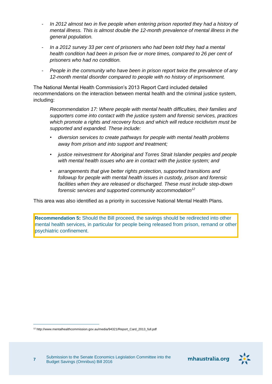- *In 2012 almost two in five people when entering prison reported they had a history of mental illness. This is almost double the 12-month prevalence of mental illness in the general population.*
- *In a 2012 survey 33 per cent of prisoners who had been told they had a mental health condition had been in prison five or more times, compared to 26 per cent of prisoners who had no condition.*
- *People in the community who have been in prison report twice the prevalence of any 12-month mental disorder compared to people with no history of imprisonment.*

The National Mental Health Commission's 2013 Report Card included detailed recommendations on the interaction between mental health and the criminal justice system, including:

*Recommendation 17: Where people with mental health difficulties, their families and supporters come into contact with the justice system and forensic services, practices which promote a rights and recovery focus and which will reduce recidivism must be supported and expanded. These include:* 

- *diversion services to create pathways for people with mental health problems away from prison and into support and treatment;*
- *justice reinvestment for Aboriginal and Torres Strait Islander peoples and people with mental health issues who are in contact with the justice system; and*
- *arrangements that give better rights protection, supported transitions and followup for people with mental health issues in custody, prison and forensic facilities when they are released or discharged. These must include step-down forensic services and supported community accommodation<sup>12</sup>*

This area was also identified as a priority in successive National Mental Health Plans.

<span id="page-6-0"></span>**Recommendation 5:** Should the Bill proceed, the savings should be redirected into other mental health services, in particular for people being released from prison, remand or other psychiatric confinement.

 $\overline{a}$ 



<sup>&</sup>lt;sup>12</sup> http://www.mentalhealthcommission.gov.au/media/94321/Report\_Card\_2013\_full.pdf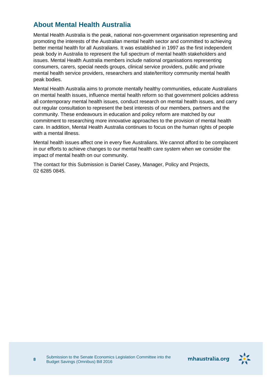#### **About Mental Health Australia**

Mental Health Australia is the peak, national non-government organisation representing and promoting the interests of the Australian mental health sector and committed to achieving better mental health for all Australians. It was established in 1997 as the first independent peak body in Australia to represent the full spectrum of mental health stakeholders and issues. Mental Health Australia members include national organisations representing consumers, carers, special needs groups, clinical service providers, public and private mental health service providers, researchers and state/territory community mental health peak bodies.

Mental Health Australia aims to promote mentally healthy communities, educate Australians on mental health issues, influence mental health reform so that government policies address all contemporary mental health issues, conduct research on mental health issues, and carry out regular consultation to represent the best interests of our members, partners and the community. These endeavours in education and policy reform are matched by our commitment to researching more innovative approaches to the provision of mental health care. In addition, Mental Health Australia continues to focus on the human rights of people with a mental illness.

Mental health issues affect one in every five Australians. We cannot afford to be complacent in our efforts to achieve changes to our mental health care system when we consider the impact of mental health on our community.

The contact for this Submission is Daniel Casey, Manager, Policy and Projects, 02 6285 0845.

**8**